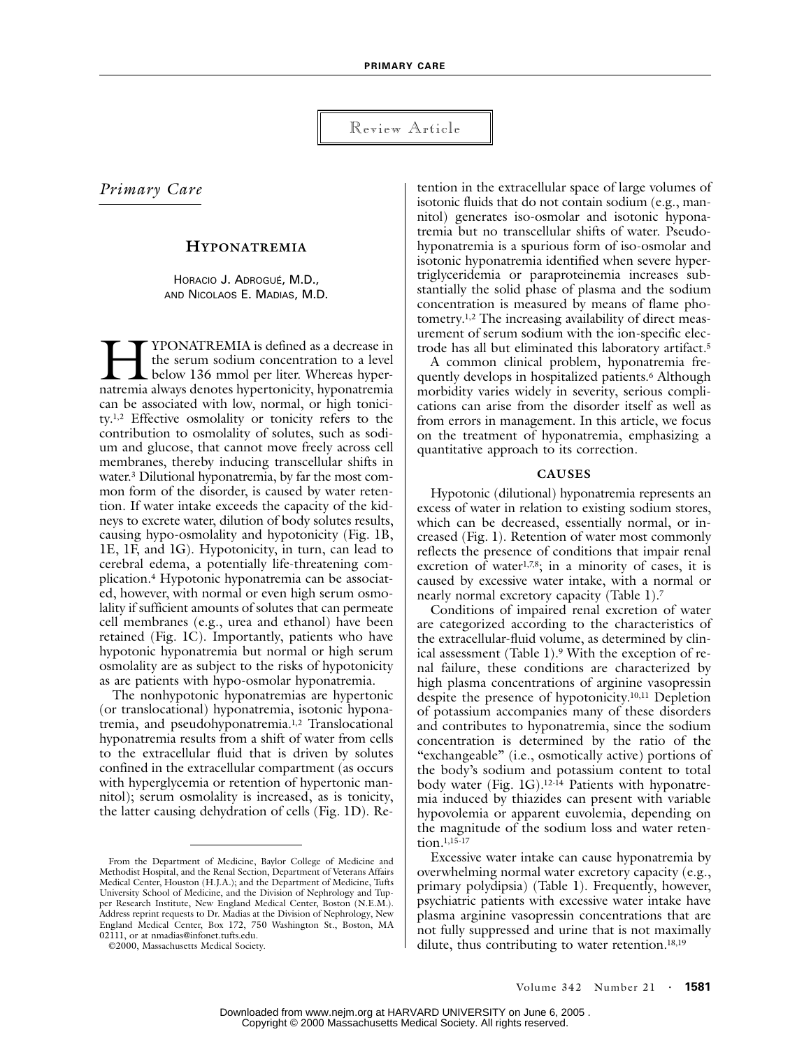Review Article

*Primary Care*

# **HYPONATREMIA**

HORACIO J. ADROGUÉ, M.D., AND NICOLAOS E. MADIAS, M.D.

YPONATREMIA is defined as a decrease in the serum sodium concentration to a level below 136 mmol per liter. Whereas hyper-IMPONATREMIA is defined as a decrease in the serum sodium concentration to a level<br>below 136 mmol per liter. Whereas hyper-<br>natremia always denotes hypertonicity, hyponatremia can be associated with low, normal, or high tonicity.1,2 Effective osmolality or tonicity refers to the contribution to osmolality of solutes, such as sodium and glucose, that cannot move freely across cell membranes, thereby inducing transcellular shifts in water.3 Dilutional hyponatremia, by far the most common form of the disorder, is caused by water retention. If water intake exceeds the capacity of the kidneys to excrete water, dilution of body solutes results, causing hypo-osmolality and hypotonicity (Fig. 1B, 1E, 1F, and 1G). Hypotonicity, in turn, can lead to cerebral edema, a potentially life-threatening complication.4 Hypotonic hyponatremia can be associated, however, with normal or even high serum osmolality if sufficient amounts of solutes that can permeate cell membranes (e.g., urea and ethanol) have been retained (Fig. 1C). Importantly, patients who have hypotonic hyponatremia but normal or high serum osmolality are as subject to the risks of hypotonicity as are patients with hypo-osmolar hyponatremia.

The nonhypotonic hyponatremias are hypertonic (or translocational) hyponatremia, isotonic hyponatremia, and pseudohyponatremia.1,2 Translocational hyponatremia results from a shift of water from cells to the extracellular fluid that is driven by solutes confined in the extracellular compartment (as occurs with hyperglycemia or retention of hypertonic mannitol); serum osmolality is increased, as is tonicity, the latter causing dehydration of cells (Fig. 1D). Re-

tention in the extracellular space of large volumes of isotonic fluids that do not contain sodium (e.g., mannitol) generates iso-osmolar and isotonic hyponatremia but no transcellular shifts of water. Pseudohyponatremia is a spurious form of iso-osmolar and isotonic hyponatremia identified when severe hypertriglyceridemia or paraproteinemia increases substantially the solid phase of plasma and the sodium concentration is measured by means of flame photometry.1,2 The increasing availability of direct measurement of serum sodium with the ion-specific electrode has all but eliminated this laboratory artifact.5

A common clinical problem, hyponatremia frequently develops in hospitalized patients.<sup>6</sup> Although morbidity varies widely in severity, serious complications can arise from the disorder itself as well as from errors in management. In this article, we focus on the treatment of hyponatremia, emphasizing a quantitative approach to its correction.

## **CAUSES**

Hypotonic (dilutional) hyponatremia represents an excess of water in relation to existing sodium stores, which can be decreased, essentially normal, or increased (Fig. 1). Retention of water most commonly reflects the presence of conditions that impair renal excretion of water<sup>1,7,8</sup>; in a minority of cases, it is caused by excessive water intake, with a normal or nearly normal excretory capacity (Table 1).7

Conditions of impaired renal excretion of water are categorized according to the characteristics of the extracellular-fluid volume, as determined by clinical assessment (Table 1).9 With the exception of renal failure, these conditions are characterized by high plasma concentrations of arginine vasopressin despite the presence of hypotonicity.10,11 Depletion of potassium accompanies many of these disorders and contributes to hyponatremia, since the sodium concentration is determined by the ratio of the "exchangeable" (i.e., osmotically active) portions of the body's sodium and potassium content to total body water (Fig. 1G).<sup>12-14</sup> Patients with hyponatremia induced by thiazides can present with variable hypovolemia or apparent euvolemia, depending on the magnitude of the sodium loss and water retention.1,15-17

Excessive water intake can cause hyponatremia by overwhelming normal water excretory capacity (e.g., primary polydipsia) (Table 1). Frequently, however, psychiatric patients with excessive water intake have plasma arginine vasopressin concentrations that are not fully suppressed and urine that is not maximally dilute, thus contributing to water retention.<sup>18,19</sup>

From the Department of Medicine, Baylor College of Medicine and Methodist Hospital, and the Renal Section, Department of Veterans Affairs Medical Center, Houston (H.J.A.); and the Department of Medicine, Tufts University School of Medicine, and the Division of Nephrology and Tupper Research Institute, New England Medical Center, Boston (N.E.M.). Address reprint requests to Dr. Madias at the Division of Nephrology, New England Medical Center, Box 172, 750 Washington St., Boston, MA 02111, or at nmadias@infonet.tufts.edu.

<sup>©2000,</sup> Massachusetts Medical Society.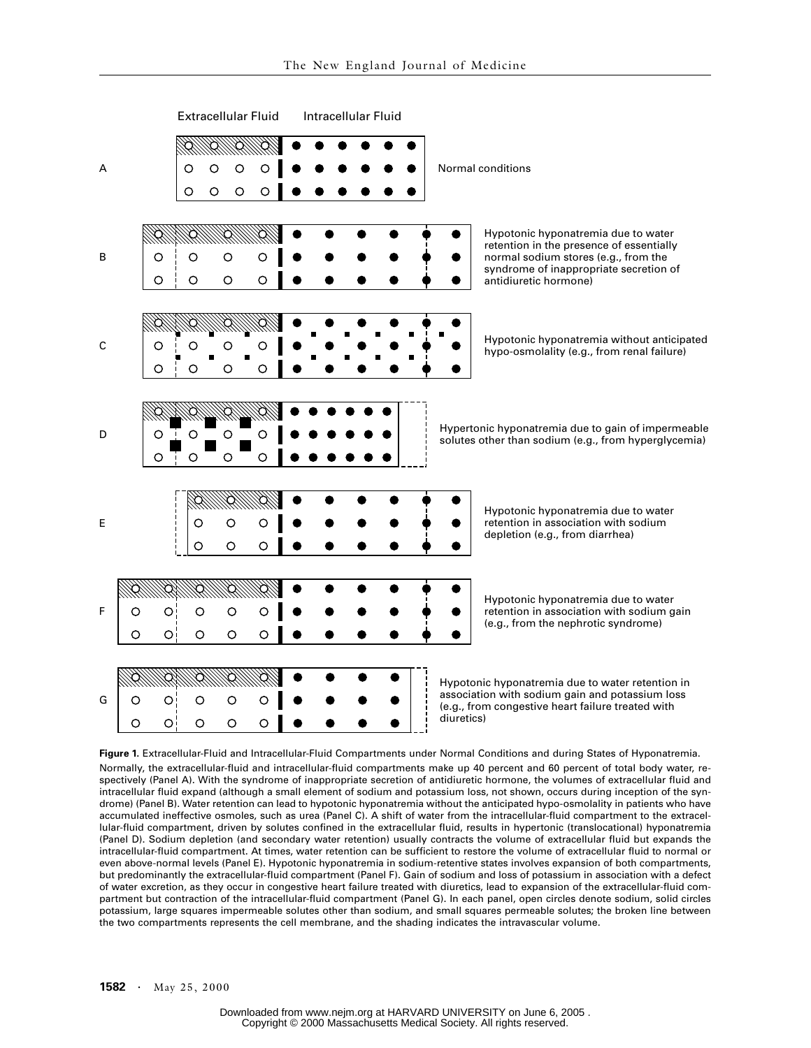

**Figure 1.** Extracellular-Fluid and Intracellular-Fluid Compartments under Normal Conditions and during States of Hyponatremia. Normally, the extracellular-fluid and intracellular-fluid compartments make up 40 percent and 60 percent of total body water, respectively (Panel A). With the syndrome of inappropriate secretion of antidiuretic hormone, the volumes of extracellular fluid and intracellular fluid expand (although a small element of sodium and potassium loss, not shown, occurs during inception of the syndrome) (Panel B). Water retention can lead to hypotonic hyponatremia without the anticipated hypo-osmolality in patients who have accumulated ineffective osmoles, such as urea (Panel C). A shift of water from the intracellular-fluid compartment to the extracellular-fluid compartment, driven by solutes confined in the extracellular fluid, results in hypertonic (translocational) hyponatremia (Panel D). Sodium depletion (and secondary water retention) usually contracts the volume of extracellular fluid but expands the intracellular-fluid compartment. At times, water retention can be sufficient to restore the volume of extracellular fluid to normal or even above-normal levels (Panel E). Hypotonic hyponatremia in sodium-retentive states involves expansion of both compartments, but predominantly the extracellular-fluid compartment (Panel F). Gain of sodium and loss of potassium in association with a defect of water excretion, as they occur in congestive heart failure treated with diuretics, lead to expansion of the extracellular-fluid compartment but contraction of the intracellular-fluid compartment (Panel G). In each panel, open circles denote sodium, solid circles potassium, large squares impermeable solutes other than sodium, and small squares permeable solutes; the broken line between the two compartments represents the cell membrane, and the shading indicates the intravascular volume.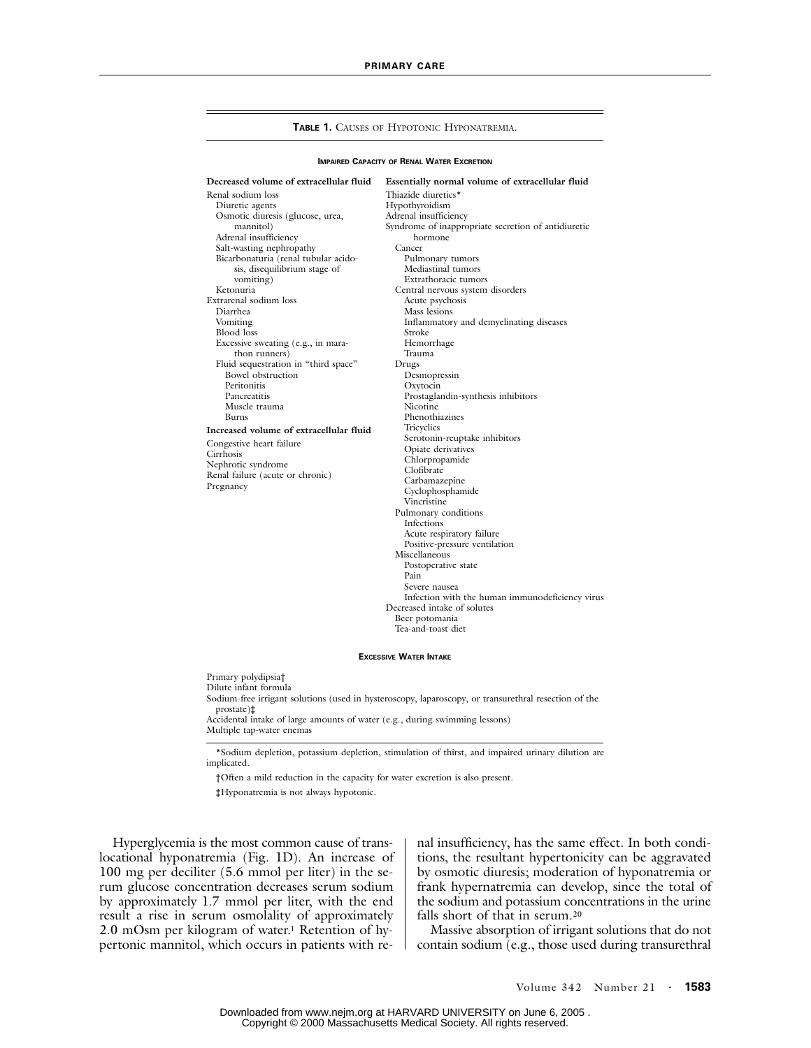#### **TABLE 1.** CAUSES OF HYPOTONIC HYPONATREMIA.

#### **IMPAIRED CAPACITY OF RENAL WATER EXCRETION**

#### **Decreased volume of extracellular fluid**

Renal sodium loss Diuretic agents Osmotic diuresis (glucose, urea, mannitol) Adrenal insufficiency Salt-wasting nephropathy Bicarbonaturia (renal tubular acidosis, disequilibrium stage of vomiting) Ketonuria Extrarenal sodium loss Diarrhea Vomiting Blood loss Excessive sweating (e.g., in marathon runners) Fluid sequestration in "third space" Bowel obstruction Peritonitis Pancreatitis Muscle trauma Burns **Increased volume of extracellular fluid** Congestive heart failure Cirrhosis Nephrotic syndrome

Renal failure (acute or chronic)

Pregnancy

**Essentially normal volume of extracellular fluid** Thiazide diuretics\* Hypothyroidism Adrenal insufficiency Syndrome of inappropriate secretion of antidiuretic hormone Cancer Pulmonary tumors Mediastinal tumors Extrathoracic tumors Central nervous system disorders Acute psychosis Mass lesions Inflammatory and demyelinating diseases Stroke Hemorrhage Trauma Drugs Desmopressin Oxytocin Prostaglandin-synthesis inhibitors Nicotine Phenothiazines **Tricyclics** Serotonin-reuptake inhibitors Opiate derivatives Chlorpropamide Clofibrate Carbamazepine Cyclophosphamide Vincristine Pulmonary conditions Infections Acute respiratory failure Positive-pressure ventilation Miscellaneous Postoperative state Pain Severe nausea Infection with the human immunodeficiency virus Decreased intake of solutes Beer potomania Tea-and-toast diet

#### **EXCESSIVE WATER INTAKE**

Primary polydipsia† Dilute infant formula Sodium-free irrigant solutions (used in hysteroscopy, laparoscopy, or transurethral resection of the prostate)‡ Accidental intake of large amounts of water (e.g., during swimming lessons) Multiple tap-water enemas

\*Sodium depletion, potassium depletion, stimulation of thirst, and impaired urinary dilution are implicated.

†Often a mild reduction in the capacity for water excretion is also present.

‡Hyponatremia is not always hypotonic.

Hyperglycemia is the most common cause of translocational hyponatremia (Fig. 1D). An increase of 100 mg per deciliter (5.6 mmol per liter) in the serum glucose concentration decreases serum sodium by approximately 1.7 mmol per liter, with the end result a rise in serum osmolality of approximately 2.0 mOsm per kilogram of water.1 Retention of hypertonic mannitol, which occurs in patients with renal insufficiency, has the same effect. In both conditions, the resultant hypertonicity can be aggravated by osmotic diuresis; moderation of hyponatremia or frank hypernatremia can develop, since the total of the sodium and potassium concentrations in the urine falls short of that in serum.20

Massive absorption of irrigant solutions that do not contain sodium  $(e.g., those used during transurethral)$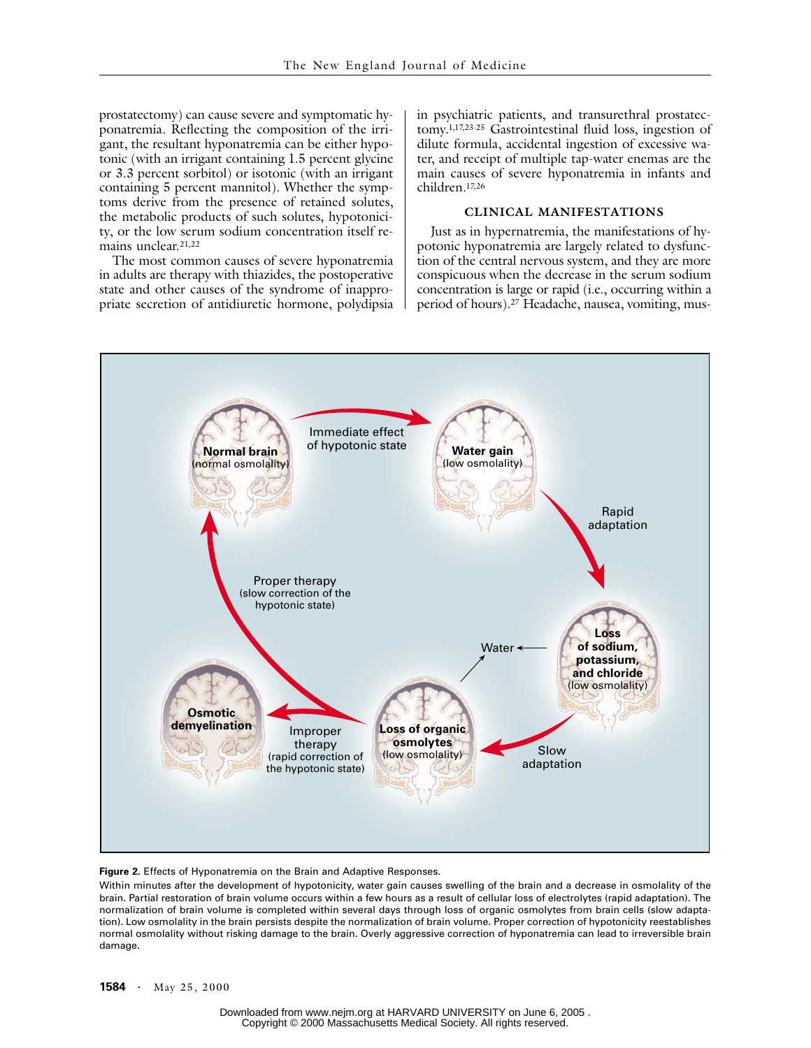prostatectomy) can cause severe and symptomatic hyponatremia. Reflecting the composition of the irrigant, the resultant hyponatremia can be either hypotonic (with an irrigant containing 1.5 percent glycine or 3.3 percent sorbitol) or isotonic (with an irrigant containing 5 percent mannitol). Whether the symptoms derive from the presence of retained solutes, the metabolic products of such solutes, hypotonicity, or the low serum sodium concentration itself remains unclear.21,22

The most common causes of severe hyponatremia in adults are therapy with thiazides, the postoperative state and other causes of the syndrome of inappropriate secretion of antidiuretic hormone, polydipsia in psychiatric patients, and transurethral prostatectomy.1,17,23-25 Gastrointestinal fluid loss, ingestion of dilute formula, accidental ingestion of excessive water, and receipt of multiple tap-water enemas are the main causes of severe hyponatremia in infants and children.17,26

# **CLINICAL MANIFESTATIONS**

Just as in hypernatremia, the manifestations of hypotonic hyponatremia are largely related to dysfunction of the central nervous system, and they are more conspicuous when the decrease in the serum sodium concentration is large or rapid (i.e., occurring within a period of hours).27 Headache, nausea, vomiting, mus-



#### **Figure 2.** Effects of Hyponatremia on the Brain and Adaptive Responses.

Within minutes after the development of hypotonicity, water gain causes swelling of the brain and a decrease in osmolality of the brain. Partial restoration of brain volume occurs within a few hours as a result of cellular loss of electrolytes (rapid adaptation). The normalization of brain volume is completed within several days through loss of organic osmolytes from brain cells (slow adaptation). Low osmolality in the brain persists despite the normalization of brain volume. Proper correction of hypotonicity reestablishes normal osmolality without risking damage to the brain. Overly aggressive correction of hyponatremia can lead to irreversible brain damage.

**1584 ·** May 25, 2000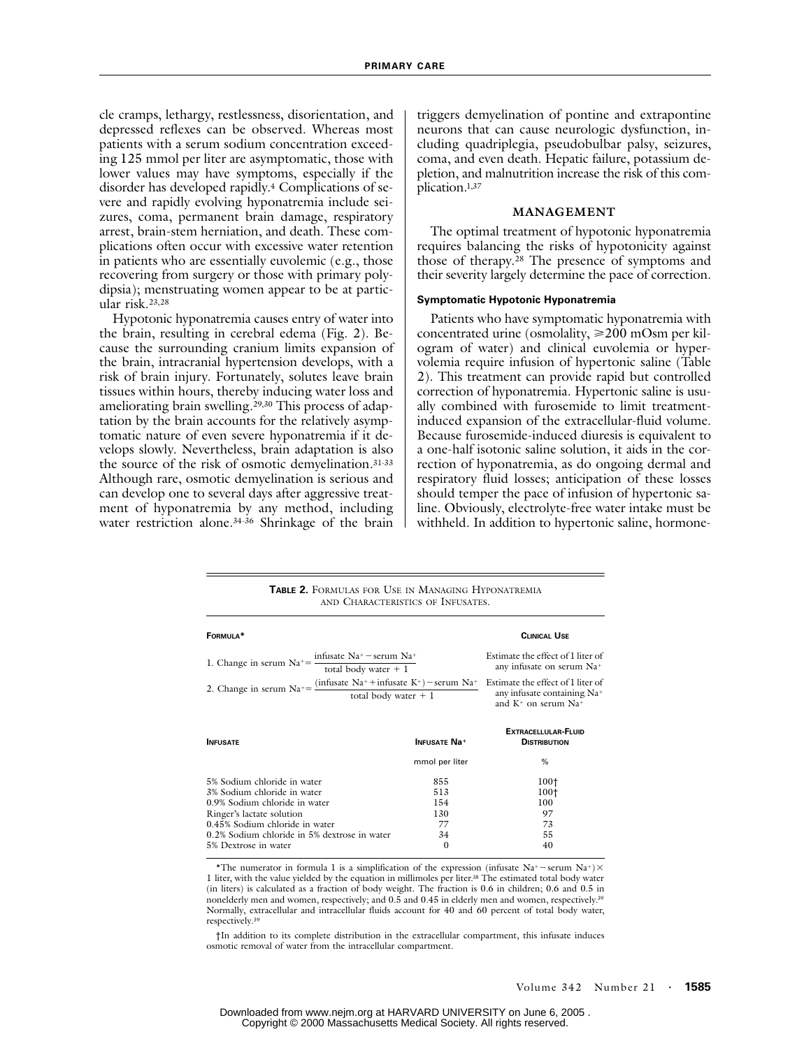cle cramps, lethargy, restlessness, disorientation, and depressed reflexes can be observed. Whereas most patients with a serum sodium concentration exceeding 125 mmol per liter are asymptomatic, those with lower values may have symptoms, especially if the disorder has developed rapidly.4 Complications of severe and rapidly evolving hyponatremia include seizures, coma, permanent brain damage, respiratory arrest, brain-stem herniation, and death. These complications often occur with excessive water retention in patients who are essentially euvolemic (e.g., those recovering from surgery or those with primary polydipsia); menstruating women appear to be at particular risk.23,28

Hypotonic hyponatremia causes entry of water into the brain, resulting in cerebral edema (Fig. 2). Because the surrounding cranium limits expansion of the brain, intracranial hypertension develops, with a risk of brain injury. Fortunately, solutes leave brain tissues within hours, thereby inducing water loss and ameliorating brain swelling.<sup>29,30</sup> This process of adaptation by the brain accounts for the relatively asymptomatic nature of even severe hyponatremia if it develops slowly. Nevertheless, brain adaptation is also the source of the risk of osmotic demyelination.31-33 Although rare, osmotic demyelination is serious and can develop one to several days after aggressive treatment of hyponatremia by any method, including water restriction alone.<sup>34-36</sup> Shrinkage of the brain

triggers demyelination of pontine and extrapontine neurons that can cause neurologic dysfunction, including quadriplegia, pseudobulbar palsy, seizures, coma, and even death. Hepatic failure, potassium depletion, and malnutrition increase the risk of this complication.1,37

## **MANAGEMENT**

The optimal treatment of hypotonic hyponatremia requires balancing the risks of hypotonicity against those of therapy.28 The presence of symptoms and their severity largely determine the pace of correction.

### **Symptomatic Hypotonic Hyponatremia**

Patients who have symptomatic hyponatremia with concentrated urine (osmolality,  $\geq 200$  mOsm per kilogram of water) and clinical euvolemia or hypervolemia require infusion of hypertonic saline (Table 2). This treatment can provide rapid but controlled correction of hyponatremia. Hypertonic saline is usually combined with furosemide to limit treatmentinduced expansion of the extracellular-fluid volume. Because furosemide-induced diuresis is equivalent to a one-half isotonic saline solution, it aids in the correction of hyponatremia, as do ongoing dermal and respiratory fluid losses; anticipation of these losses should temper the pace of infusion of hypertonic saline. Obviously, electrolyte-free water intake must be withheld. In addition to hypertonic saline, hormone-

**TABLE 2.** FORMULAS FOR USE IN MANAGING HYPONATREMIA AND CHARACTERISTICS OF INFUSATES.

|                                      | <b>CLINICAL USE</b>                                                                                                                                                                                                                                                                 |
|--------------------------------------|-------------------------------------------------------------------------------------------------------------------------------------------------------------------------------------------------------------------------------------------------------------------------------------|
|                                      | Estimate the effect of 1 liter of<br>any infusate on serum Na <sup>+</sup>                                                                                                                                                                                                          |
|                                      | Estimate the effect of 1 liter of<br>any infusate containing Na+<br>and $K^+$ on serum $Na^+$                                                                                                                                                                                       |
| <b>INFUSATE Na+</b>                  | <b>EXTRACELLULAR-FLUID</b><br><b>DISTRIBUTION</b>                                                                                                                                                                                                                                   |
| mmol per liter                       | $\%$                                                                                                                                                                                                                                                                                |
| 855<br>513<br>154<br>130<br>77<br>34 | 100†<br>100†<br>100<br>97<br>73<br>55<br>40                                                                                                                                                                                                                                         |
|                                      | 1. Change in serum $Na^+ = \frac{\text{infusate}}{1.2 \cdot 10^{14} \text{ m/s}^2}$<br>total body water $+1$<br>2. Change in serum $Na^+ = \frac{(infusate\ Na^+ + infusate\ K^+)-\text{serum\ }Na^+}{(infusate\ K^+ + \text{infusate\ }K^+)}$<br>total body water $+1$<br>$\Omega$ |

<sup>\*</sup>The numerator in formula 1 is a simplification of the expression (infusate Na+ – serum Na+) $\times$ 1 liter, with the value yielded by the equation in millimoles per liter.<sup>38</sup> The estimated total body water (in liters) is calculated as a fraction of body weight. The fraction is 0.6 in children; 0.6 and 0.5 in nonelderly men and women, respectively; and 0.5 and 0.45 in elderly men and women, respectively.39 Normally, extracellular and intracellular fluids account for 40 and 60 percent of total body water, respectively.39

<sup>†</sup>In addition to its complete distribution in the extracellular compartment, this infusate induces osmotic removal of water from the intracellular compartment.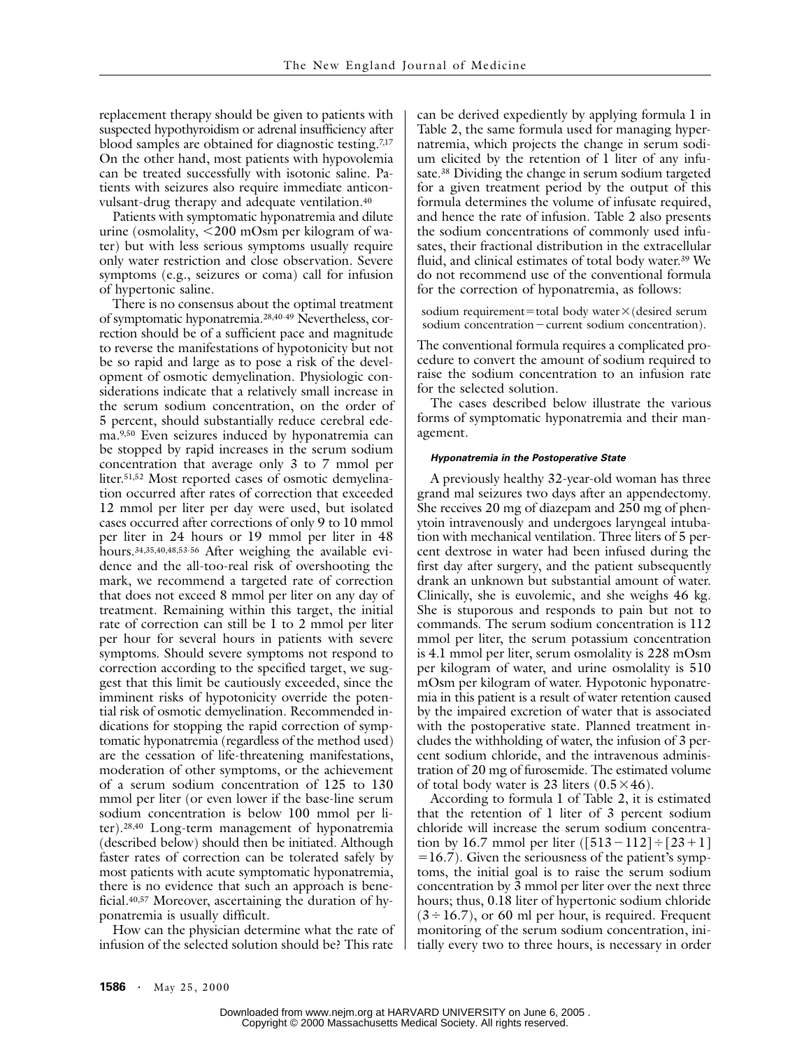replacement therapy should be given to patients with suspected hypothyroidism or adrenal insufficiency after blood samples are obtained for diagnostic testing.7,17 On the other hand, most patients with hypovolemia can be treated successfully with isotonic saline. Patients with seizures also require immediate anticonvulsant-drug therapy and adequate ventilation.40

Patients with symptomatic hyponatremia and dilute urine (osmolality, <200 mOsm per kilogram of water) but with less serious symptoms usually require only water restriction and close observation. Severe symptoms (e.g., seizures or coma) call for infusion of hypertonic saline.

There is no consensus about the optimal treatment of symptomatic hyponatremia.28,40-49 Nevertheless, correction should be of a sufficient pace and magnitude to reverse the manifestations of hypotonicity but not be so rapid and large as to pose a risk of the development of osmotic demyelination. Physiologic considerations indicate that a relatively small increase in the serum sodium concentration, on the order of 5 percent, should substantially reduce cerebral edema.9,50 Even seizures induced by hyponatremia can be stopped by rapid increases in the serum sodium concentration that average only 3 to 7 mmol per liter.51,52 Most reported cases of osmotic demyelination occurred after rates of correction that exceeded 12 mmol per liter per day were used, but isolated cases occurred after corrections of only 9 to 10 mmol per liter in 24 hours or 19 mmol per liter in 48 hours.34,35,40,48,53-56 After weighing the available evidence and the all-too-real risk of overshooting the mark, we recommend a targeted rate of correction that does not exceed 8 mmol per liter on any day of treatment. Remaining within this target, the initial rate of correction can still be 1 to 2 mmol per liter per hour for several hours in patients with severe symptoms. Should severe symptoms not respond to correction according to the specified target, we suggest that this limit be cautiously exceeded, since the imminent risks of hypotonicity override the potential risk of osmotic demyelination. Recommended indications for stopping the rapid correction of symptomatic hyponatremia (regardless of the method used) are the cessation of life-threatening manifestations, moderation of other symptoms, or the achievement of a serum sodium concentration of 125 to 130 mmol per liter (or even lower if the base-line serum sodium concentration is below 100 mmol per liter).28,40 Long-term management of hyponatremia (described below) should then be initiated. Although faster rates of correction can be tolerated safely by most patients with acute symptomatic hyponatremia, there is no evidence that such an approach is beneficial.40,57 Moreover, ascertaining the duration of hyponatremia is usually difficult.

How can the physician determine what the rate of infusion of the selected solution should be? This rate

can be derived expediently by applying formula 1 in Table 2, the same formula used for managing hypernatremia, which projects the change in serum sodium elicited by the retention of 1 liter of any infusate.38 Dividing the change in serum sodium targeted for a given treatment period by the output of this formula determines the volume of infusate required, and hence the rate of infusion. Table 2 also presents the sodium concentrations of commonly used infusates, their fractional distribution in the extracellular fluid, and clinical estimates of total body water.<sup>39</sup> We do not recommend use of the conventional formula for the correction of hyponatremia, as follows:

sodium requirement=total body water $\times$ (desired serum sodium concentration – current sodium concentration).

The conventional formula requires a complicated procedure to convert the amount of sodium required to raise the sodium concentration to an infusion rate for the selected solution.

The cases described below illustrate the various forms of symptomatic hyponatremia and their management.

### *Hyponatremia in the Postoperative State*

A previously healthy 32-year-old woman has three grand mal seizures two days after an appendectomy. She receives 20 mg of diazepam and 250 mg of phenytoin intravenously and undergoes laryngeal intubation with mechanical ventilation. Three liters of 5 percent dextrose in water had been infused during the first day after surgery, and the patient subsequently drank an unknown but substantial amount of water. Clinically, she is euvolemic, and she weighs 46 kg. She is stuporous and responds to pain but not to commands. The serum sodium concentration is 112 mmol per liter, the serum potassium concentration is 4.1 mmol per liter, serum osmolality is 228 mOsm per kilogram of water, and urine osmolality is 510 mOsm per kilogram of water. Hypotonic hyponatremia in this patient is a result of water retention caused by the impaired excretion of water that is associated with the postoperative state. Planned treatment includes the withholding of water, the infusion of 3 percent sodium chloride, and the intravenous administration of 20 mg of furosemide. The estimated volume of total body water is 23 liters  $(0.5 \times 46)$ .

According to formula 1 of Table 2, it is estimated that the retention of 1 liter of 3 percent sodium chloride will increase the serum sodium concentration by 16.7 mmol per liter  $([513-112] \div [23+1]$  $=16.7$ ). Given the seriousness of the patient's symptoms, the initial goal is to raise the serum sodium concentration by 3 mmol per liter over the next three hours; thus, 0.18 liter of hypertonic sodium chloride  $(3 \div 16.7)$ , or 60 ml per hour, is required. Frequent monitoring of the serum sodium concentration, initially every two to three hours, is necessary in order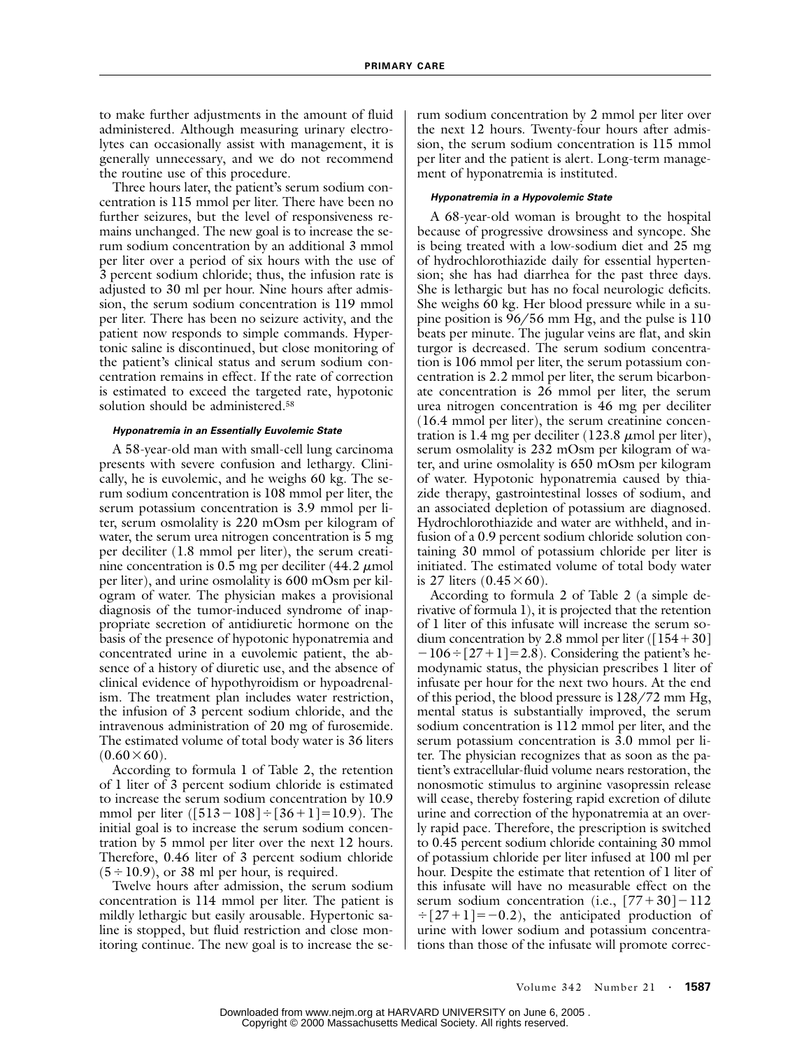to make further adjustments in the amount of fluid administered. Although measuring urinary electrolytes can occasionally assist with management, it is generally unnecessary, and we do not recommend the routine use of this procedure.

Three hours later, the patient's serum sodium concentration is 115 mmol per liter. There have been no further seizures, but the level of responsiveness remains unchanged. The new goal is to increase the serum sodium concentration by an additional 3 mmol per liter over a period of six hours with the use of 3 percent sodium chloride; thus, the infusion rate is adjusted to 30 ml per hour. Nine hours after admission, the serum sodium concentration is 119 mmol per liter. There has been no seizure activity, and the patient now responds to simple commands. Hypertonic saline is discontinued, but close monitoring of the patient's clinical status and serum sodium concentration remains in effect. If the rate of correction is estimated to exceed the targeted rate, hypotonic solution should be administered.58

## *Hyponatremia in an Essentially Euvolemic State*

A 58-year-old man with small-cell lung carcinoma presents with severe confusion and lethargy. Clinically, he is euvolemic, and he weighs 60 kg. The serum sodium concentration is 108 mmol per liter, the serum potassium concentration is 3.9 mmol per liter, serum osmolality is 220 mOsm per kilogram of water, the serum urea nitrogen concentration is 5 mg per deciliter (1.8 mmol per liter), the serum creatinine concentration is 0.5 mg per deciliter  $(44.2 \mu mol)$ per liter), and urine osmolality is 600 mOsm per kilogram of water. The physician makes a provisional diagnosis of the tumor-induced syndrome of inappropriate secretion of antidiuretic hormone on the basis of the presence of hypotonic hyponatremia and concentrated urine in a euvolemic patient, the absence of a history of diuretic use, and the absence of clinical evidence of hypothyroidism or hypoadrenalism. The treatment plan includes water restriction, the infusion of 3 percent sodium chloride, and the intravenous administration of 20 mg of furosemide. The estimated volume of total body water is 36 liters  $(0.60\times60)$ .

According to formula 1 of Table 2, the retention of 1 liter of 3 percent sodium chloride is estimated to increase the serum sodium concentration by 10.9 mmol per liter  $([513 - 108] \div [36 + 1] = 10.9)$ . The initial goal is to increase the serum sodium concentration by 5 mmol per liter over the next 12 hours. Therefore, 0.46 liter of 3 percent sodium chloride  $(5 \div 10.9)$ , or 38 ml per hour, is required.

Twelve hours after admission, the serum sodium concentration is 114 mmol per liter. The patient is mildly lethargic but easily arousable. Hypertonic saline is stopped, but fluid restriction and close monitoring continue. The new goal is to increase the serum sodium concentration by 2 mmol per liter over the next 12 hours. Twenty-four hours after admission, the serum sodium concentration is 115 mmol per liter and the patient is alert. Long-term management of hyponatremia is instituted.

### *Hyponatremia in a Hypovolemic State*

A 68-year-old woman is brought to the hospital because of progressive drowsiness and syncope. She is being treated with a low-sodium diet and 25 mg of hydrochlorothiazide daily for essential hypertension; she has had diarrhea for the past three days. She is lethargic but has no focal neurologic deficits. She weighs 60 kg. Her blood pressure while in a supine position is 96/56 mm Hg, and the pulse is 110 beats per minute. The jugular veins are flat, and skin turgor is decreased. The serum sodium concentration is 106 mmol per liter, the serum potassium concentration is 2.2 mmol per liter, the serum bicarbonate concentration is 26 mmol per liter, the serum urea nitrogen concentration is 46 mg per deciliter (16.4 mmol per liter), the serum creatinine concentration is 1.4 mg per deciliter  $(123.8 \mu mol$  per liter), serum osmolality is 232 mOsm per kilogram of water, and urine osmolality is 650 mOsm per kilogram of water. Hypotonic hyponatremia caused by thiazide therapy, gastrointestinal losses of sodium, and an associated depletion of potassium are diagnosed. Hydrochlorothiazide and water are withheld, and infusion of a 0.9 percent sodium chloride solution containing 30 mmol of potassium chloride per liter is initiated. The estimated volume of total body water is 27 liters  $(0.45\times60)$ .

According to formula 2 of Table 2 (a simple derivative of formula 1), it is projected that the retention of 1 liter of this infusate will increase the serum sodium concentration by 2.8 mmol per liter ( $[154+30]$  $-106 \div [27+1] = 2.8$ ). Considering the patient's hemodynamic status, the physician prescribes 1 liter of infusate per hour for the next two hours. At the end of this period, the blood pressure is 128/72 mm Hg, mental status is substantially improved, the serum sodium concentration is 112 mmol per liter, and the serum potassium concentration is 3.0 mmol per liter. The physician recognizes that as soon as the patient's extracellular-fluid volume nears restoration, the nonosmotic stimulus to arginine vasopressin release will cease, thereby fostering rapid excretion of dilute urine and correction of the hyponatremia at an overly rapid pace. Therefore, the prescription is switched to 0.45 percent sodium chloride containing 30 mmol of potassium chloride per liter infused at 100 ml per hour. Despite the estimate that retention of 1 liter of this infusate will have no measurable effect on the serum sodium concentration (i.e.,  $[77+30]-112$  $\div$ [27+1]=-0.2), the anticipated production of urine with lower sodium and potassium concentrations than those of the infusate will promote correc-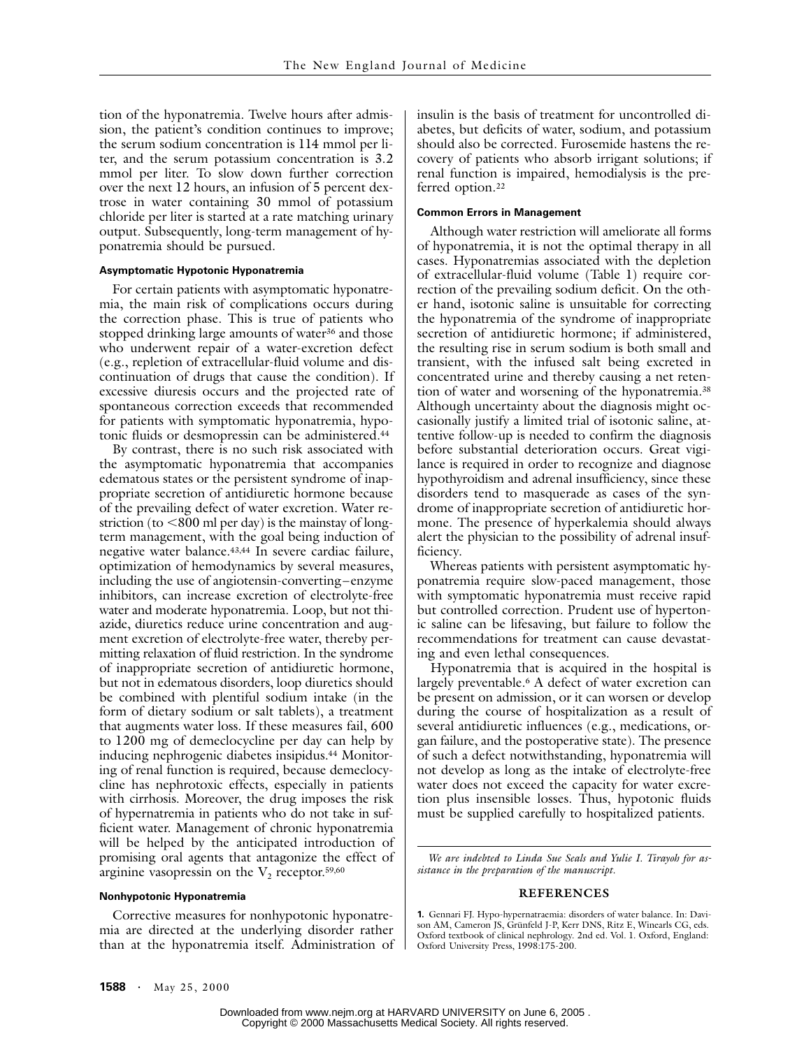tion of the hyponatremia. Twelve hours after admission, the patient's condition continues to improve; the serum sodium concentration is 114 mmol per liter, and the serum potassium concentration is 3.2 mmol per liter. To slow down further correction over the next 12 hours, an infusion of 5 percent dextrose in water containing 30 mmol of potassium chloride per liter is started at a rate matching urinary output. Subsequently, long-term management of hyponatremia should be pursued.

# **Asymptomatic Hypotonic Hyponatremia**

For certain patients with asymptomatic hyponatremia, the main risk of complications occurs during the correction phase. This is true of patients who stopped drinking large amounts of water<sup>36</sup> and those who underwent repair of a water-excretion defect (e.g., repletion of extracellular-fluid volume and discontinuation of drugs that cause the condition). If excessive diuresis occurs and the projected rate of spontaneous correction exceeds that recommended for patients with symptomatic hyponatremia, hypotonic fluids or desmopressin can be administered.44

By contrast, there is no such risk associated with the asymptomatic hyponatremia that accompanies edematous states or the persistent syndrome of inappropriate secretion of antidiuretic hormone because of the prevailing defect of water excretion. Water restriction (to  $<800$  ml per day) is the mainstay of longterm management, with the goal being induction of negative water balance.43,44 In severe cardiac failure, optimization of hemodynamics by several measures, including the use of angiotensin-converting–enzyme inhibitors, can increase excretion of electrolyte-free water and moderate hyponatremia. Loop, but not thiazide, diuretics reduce urine concentration and augment excretion of electrolyte-free water, thereby permitting relaxation of fluid restriction. In the syndrome of inappropriate secretion of antidiuretic hormone, but not in edematous disorders, loop diuretics should be combined with plentiful sodium intake (in the form of dietary sodium or salt tablets), a treatment that augments water loss. If these measures fail, 600 to 1200 mg of demeclocycline per day can help by inducing nephrogenic diabetes insipidus.<sup>44</sup> Monitoring of renal function is required, because demeclocycline has nephrotoxic effects, especially in patients with cirrhosis. Moreover, the drug imposes the risk of hypernatremia in patients who do not take in sufficient water. Management of chronic hyponatremia will be helped by the anticipated introduction of promising oral agents that antagonize the effect of arginine vasopressin on the  $V_2$  receptor.<sup>59,60</sup>

#### **Nonhypotonic Hyponatremia**

Corrective measures for nonhypotonic hyponatremia are directed at the underlying disorder rather than at the hyponatremia itself. Administration of insulin is the basis of treatment for uncontrolled diabetes, but deficits of water, sodium, and potassium should also be corrected. Furosemide hastens the recovery of patients who absorb irrigant solutions; if renal function is impaired, hemodialysis is the preferred option.22

### **Common Errors in Management**

Although water restriction will ameliorate all forms of hyponatremia, it is not the optimal therapy in all cases. Hyponatremias associated with the depletion of extracellular-fluid volume (Table 1) require correction of the prevailing sodium deficit. On the other hand, isotonic saline is unsuitable for correcting the hyponatremia of the syndrome of inappropriate secretion of antidiuretic hormone; if administered, the resulting rise in serum sodium is both small and transient, with the infused salt being excreted in concentrated urine and thereby causing a net retention of water and worsening of the hyponatremia.38 Although uncertainty about the diagnosis might occasionally justify a limited trial of isotonic saline, attentive follow-up is needed to confirm the diagnosis before substantial deterioration occurs. Great vigilance is required in order to recognize and diagnose hypothyroidism and adrenal insufficiency, since these disorders tend to masquerade as cases of the syndrome of inappropriate secretion of antidiuretic hormone. The presence of hyperkalemia should always alert the physician to the possibility of adrenal insufficiency.

Whereas patients with persistent asymptomatic hyponatremia require slow-paced management, those with symptomatic hyponatremia must receive rapid but controlled correction. Prudent use of hypertonic saline can be lifesaving, but failure to follow the recommendations for treatment can cause devastating and even lethal consequences.

Hyponatremia that is acquired in the hospital is largely preventable.<sup>6</sup> A defect of water excretion can be present on admission, or it can worsen or develop during the course of hospitalization as a result of several antidiuretic influences (e.g., medications, organ failure, and the postoperative state). The presence of such a defect notwithstanding, hyponatremia will not develop as long as the intake of electrolyte-free water does not exceed the capacity for water excretion plus insensible losses. Thus, hypotonic fluids must be supplied carefully to hospitalized patients.

*We are indebted to Linda Sue Seals and Yulie I. Tirayoh for assistance in the preparation of the manuscript.*

#### **REFERENCES**

**<sup>1.</sup>** Gennari FJ. Hypo-hypernatraemia: disorders of water balance. In: Davison AM, Cameron JS, Grünfeld J-P, Kerr DNS, Ritz E, Winearls CG, eds. Oxford textbook of clinical nephrology. 2nd ed. Vol. 1. Oxford, England: Oxford University Press, 1998:175-200.